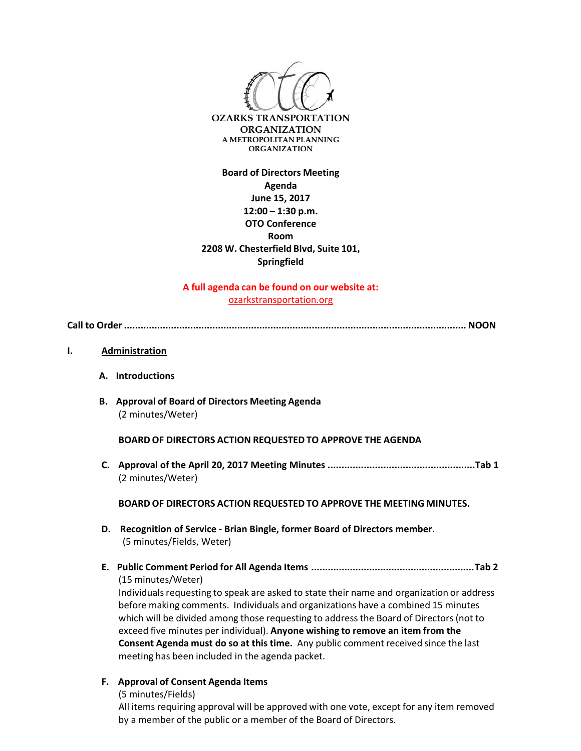

**Board of Directors Meeting Agenda June 15, 2017 12:00 – 1:30 p.m. OTO Conference Room 2208 W. Chesterfield Blvd, Suite 101, Springfield**

**A full agenda can be found on our website at:** ozarkstransportation.org

**Call to Order ............................................................................................................................ NOON**

- **I. Administration**
	- **A. Introductions**
	- **B. Approval of Board of Directors Meeting Agenda** (2 minutes/Weter)

**BOARD OF DIRECTORS ACTION REQUESTED TO APPROVE THE AGENDA**

**C. Approval of the April 20, 2017 Meeting Minutes .....................................................Tab 1** (2 minutes/Weter)

**BOARD OF DIRECTORS ACTION REQUESTED TO APPROVE THE MEETING MINUTES.**

- **D. Recognition of Service ‐ Brian Bingle, former Board of Directors member.** (5 minutes/Fields, Weter)
- **E. Public Comment Period for All Agenda Items ...........................................................Tab 2** (15 minutes/Weter)

Individuals requesting to speak are asked to state their name and organization or address before making comments. Individuals and organizations have a combined 15 minutes which will be divided among those requesting to addressthe Board of Directors(not to exceed five minutes per individual). **Anyone wishing to remove an item from the Consent Agenda must do so at this time.** Any public comment received since the last meeting has been included in the agenda packet.

- **F. Approval of Consent Agenda Items**
	- (5 minutes/Fields)

All items requiring approval will be approved with one vote, except for any item removed by a member of the public or a member of the Board of Directors.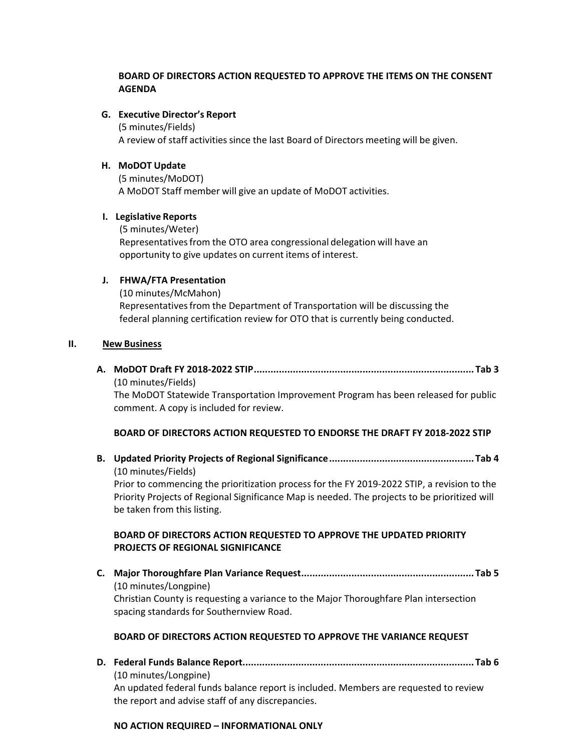# **BOARD OF DIRECTORS ACTION REQUESTED TO APPROVE THE ITEMS ON THE CONSENT AGENDA**

**G. Executive Director's Report**

(5 minutes/Fields)

A review of staff activitiessince the last Board of Directors meeting will be given.

#### **H. MoDOT Update**

(5 minutes/MoDOT) A MoDOT Staff member will give an update of MoDOT activities.

#### **I. Legislative Reports**

(5 minutes/Weter) Representativesfrom the OTO area congressional delegation will have an opportunity to give updates on current items of interest.

#### **J. FHWA/FTA Presentation**

(10 minutes/McMahon) Representativesfrom the Department of Transportation will be discussing the federal planning certification review for OTO that is currently being conducted.

#### **II. New Business**

**A. MoDOT Draft FY 2018‐2022 STIP............................................................................... Tab 3**  (10 minutes/Fields)

The MoDOT Statewide Transportation Improvement Program has been released for public comment. A copy is included for review.

## **BOARD OF DIRECTORS ACTION REQUESTED TO ENDORSE THE DRAFT FY 2018‐2022 STIP**

**B. Updated Priority Projects of Regional Significance.................................................... Tab 4** (10 minutes/Fields)

Prior to commencing the prioritization process for the FY 2019‐2022 STIP, a revision to the Priority Projects of Regional Significance Map is needed. The projects to be prioritized will be taken from this listing.

## **BOARD OF DIRECTORS ACTION REQUESTED TO APPROVE THE UPDATED PRIORITY PROJECTS OF REGIONAL SIGNIFICANCE**

**C. Major Thoroughfare Plan Variance Request.............................................................. Tab 5** (10 minutes/Longpine) Christian County is requesting a variance to the Major Thoroughfare Plan intersection spacing standards for Southernview Road.

## **BOARD OF DIRECTORS ACTION REQUESTED TO APPROVE THE VARIANCE REQUEST**

**D. Federal Funds Balance Report................................................................................... Tab 6** (10 minutes/Longpine) An updated federal funds balance report is included. Members are requested to review the report and advise staff of any discrepancies.

#### **NO ACTION REQUIRED – INFORMATIONAL ONLY**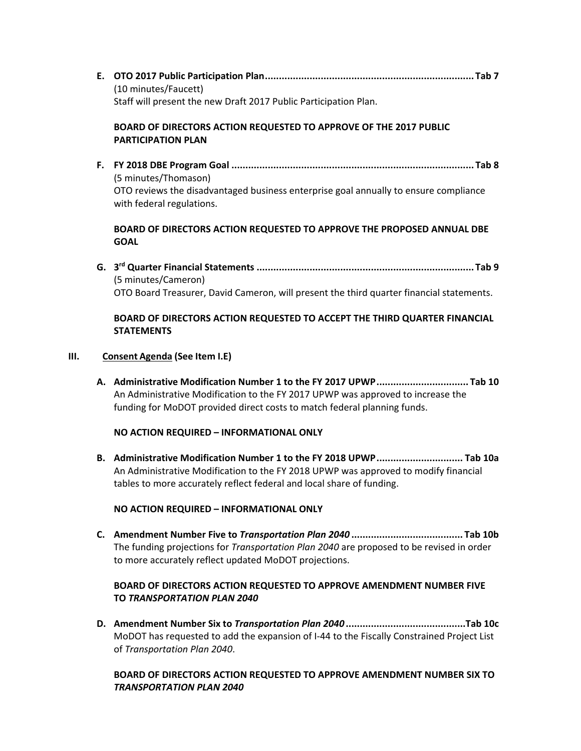**E. OTO 2017 Public Participation Plan........................................................................... Tab 7** (10 minutes/Faucett) Staff will present the new Draft 2017 Public Participation Plan.

# **BOARD OF DIRECTORS ACTION REQUESTED TO APPROVE OF THE 2017 PUBLIC PARTICIPATION PLAN**

**F. FY 2018 DBE Program Goal ....................................................................................... Tab 8**  (5 minutes/Thomason) OTO reviews the disadvantaged business enterprise goal annually to ensure compliance with federal regulations.

# **BOARD OF DIRECTORS ACTION REQUESTED TO APPROVE THE PROPOSED ANNUAL DBE GOAL**

**G. 3rd Quarter Financial Statements .............................................................................. Tab 9** (5 minutes/Cameron) OTO Board Treasurer, David Cameron, will present the third quarter financial statements.

# **BOARD OF DIRECTORS ACTION REQUESTED TO ACCEPT THE THIRD QUARTER FINANCIAL STATEMENTS**

## **III. Consent Agenda (See Item I.E)**

**A. Administrative Modification Number 1 to the FY 2017 UPWP................................. Tab 10** An Administrative Modification to the FY 2017 UPWP was approved to increase the funding for MoDOT provided direct costs to match federal planning funds.

## **NO ACTION REQUIRED – INFORMATIONAL ONLY**

**B. Administrative Modification Number 1 to the FY 2018 UPWP............................... Tab 10a** An Administrative Modification to the FY 2018 UPWP was approved to modify financial tables to more accurately reflect federal and local share of funding.

## **NO ACTION REQUIRED – INFORMATIONAL ONLY**

**C. Amendment Number Five to** *Transportation Plan 2040* **........................................ Tab 10b** The funding projections for *Transportation Plan 2040* are proposed to be revised in order to more accurately reflect updated MoDOT projections.

# **BOARD OF DIRECTORS ACTION REQUESTED TO APPROVE AMENDMENT NUMBER FIVE TO** *TRANSPORTATION PLAN 2040*

**D. Amendment Number Six to** *Transportation Plan 2040* **...........................................Tab 10c** MoDOT has requested to add the expansion of I‐44 to the Fiscally Constrained Project List of *Transportation Plan 2040*.

# **BOARD OF DIRECTORS ACTION REQUESTED TO APPROVE AMENDMENT NUMBER SIX TO** *TRANSPORTATION PLAN 2040*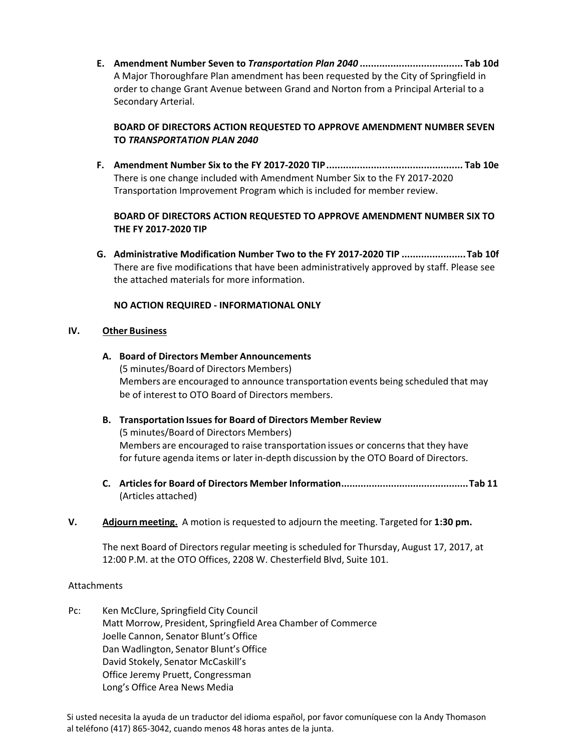**E. Amendment Number Seven to** *Transportation Plan 2040* **..................................... Tab 10d** A Major Thoroughfare Plan amendment has been requested by the City of Springfield in order to change Grant Avenue between Grand and Norton from a Principal Arterial to a Secondary Arterial.

# **BOARD OF DIRECTORS ACTION REQUESTED TO APPROVE AMENDMENT NUMBER SEVEN TO** *TRANSPORTATION PLAN 2040*

**F. Amendment Number Six to the FY 2017‐2020 TIP................................................. Tab 10e** There is one change included with Amendment Number Six to the FY 2017‐2020 Transportation Improvement Program which is included for member review.

# **BOARD OF DIRECTORS ACTION REQUESTED TO APPROVE AMENDMENT NUMBER SIX TO THE FY 2017‐2020 TIP**

**G. Administrative Modification Number Two to the FY 2017‐2020 TIP .......................Tab 10f**  There are five modifications that have been administratively approved by staff. Please see the attached materials for more information.

# **NO ACTION REQUIRED ‐ INFORMATIONAL ONLY**

## **IV. Other Business**

- **A. Board of Directors Member Announcements** (5 minutes/Board of Directors Members) Members are encouraged to announce transportation events being scheduled that may be of interest to OTO Board of Directors members.
- **B. Transportation Issues for Board of Directors Member Review** (5 minutes/Board of Directors Members) Members are encouraged to raise transportation issues or concerns that they have for future agenda items or later in‐depth discussion by the OTO Board of Directors.
- **C. Articlesfor Board of Directors Member Information..............................................Tab 11** (Articles attached)
- **V. Adjourn meeting.** A motion is requested to adjourn the meeting. Targeted for **1:30 pm.**

The next Board of Directors regular meeting is scheduled for Thursday, August 17, 2017, at 12:00 P.M. at the OTO Offices, 2208 W. Chesterfield Blvd, Suite 101.

## Attachments

Pc: Ken McClure, Springfield City Council Matt Morrow, President, Springfield Area Chamber of Commerce Joelle Cannon, Senator Blunt's Office Dan Wadlington, Senator Blunt's Office David Stokely, Senator McCaskill's Office Jeremy Pruett, Congressman Long's Office Area News Media